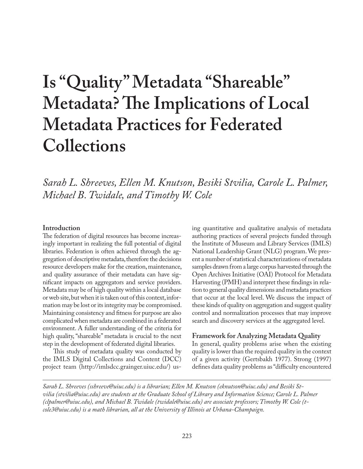# **Is "Quality" Metadata "Shareable" Metadata? The Implications of Local Metadata Practices for Federated Collections**

*Sarah L. Shreeves, Ellen M. Knutson, Besiki Stvilia, Carole L. Palmer, Michael B. Twidale, and Timothy W. Cole*

# **Introduction**

The federation of digital resources has become increasingly important in realizing the full potential of digital libraries. Federation is often achieved through the aggregation of descriptive metadata, therefore the decisions resource developers make for the creation, maintenance, and quality assurance of their metadata can have significant impacts on aggregators and service providers. Metadata may be of high quality within a local database or web site, but when it is taken out of this context, information may be lost or its integrity may be compromised. Maintaining consistency and fitness for purpose are also complicated when metadata are combined in a federated environment. A fuller understanding of the criteria for high quality, "shareable" metadata is crucial to the next step in the development of federated digital libraries.

This study of metadata quality was conducted by the IMLS Digital Collections and Content (DCC) project team (http://imlsdcc.grainger.uiuc.edu/) using quantitative and qualitative analysis of metadata authoring practices of several projects funded through the Institute of Museum and Library Services (IMLS) National Leadership Grant (NLG) program. We present a number of statistical characterizations of metadata samples drawn from a large corpus harvested through the Open Archives Initiative (OAI) Protocol for Metadata Harvesting (PMH) and interpret these findings in relation to general quality dimensions and metadata practices that occur at the local level. We discuss the impact of these kinds of quality on aggregation and suggest quality control and normalization processes that may improve search and discovery services at the aggregated level.

# **Framework for Analyzing Metadata Quality**

In general, quality problems arise when the existing quality is lower than the required quality in the context of a given activity (Gertsbakh 1977). Strong (1997) defines data quality problems as "difficulty encountered

*Sarah L. Shreeves (sshreeve@uiuc.edu) is a librarian; Ellen M. Knutson (eknutson@uiuc.edu) and Besiki Stvilia (stvilia@uiuc.edu) are students at the Graduate School of Library and Information Science; Carole L. Palmer (clpalmer@uiuc.edu), and Michael B. Twidale (twidale@uiuc.edu) are associate professors; Timothy W. Cole (tcole3@uiuc.edu) is a math librarian, all at the University of Illinois at Urbana-Champaign.*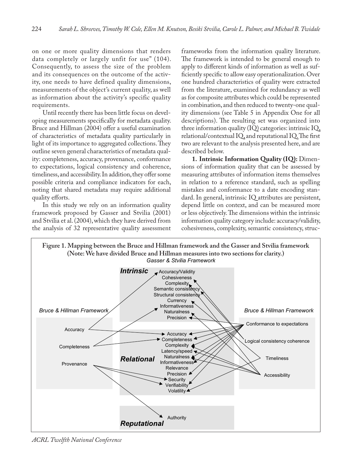on one or more quality dimensions that renders data completely or largely unfit for use" (104). Consequently, to assess the size of the problem and its consequences on the outcome of the activity, one needs to have defined quality dimensions, measurements of the object's current quality, as well as information about the activity's specific quality requirements.

Until recently there has been little focus on developing measurements specifically for metadata quality. Bruce and Hillman (2004) offer a useful examination of characteristics of metadata quality particularly in light of its importance to aggregated collections. They outline seven general characteristics of metadata quality: completeness, accuracy, provenance, conformance to expectations, logical consistency and coherence, timeliness, and accessibility. In addition, they offer some possible criteria and compliance indicators for each, noting that shared metadata may require additional quality efforts.

In this study we rely on an information quality framework proposed by Gasser and Stvilia (2001) and Stvilia et al. (2004), which they have derived from the analysis of 32 representative quality assessment

frameworks from the information quality literature. The framework is intended to be general enough to apply to different kinds of information as well as sufficiently specific to allow easy operationalization. Over one hundred characteristics of quality were extracted from the literature, examined for redundancy as well as for composite attributes which could be represented in combination, and then reduced to twenty-one quality dimensions (see Table 5 in Appendix One for all descriptions). The resulting set was organized into three information quality (IQ) categories: intrinsic IQ, relational/contextual IQ, and reputational IQ. The first two are relevant to the analysis presented here, and are described below.

**1. Intrinsic Information Quality (IQ):** Dimensions of information quality that can be assessed by measuring attributes of information items themselves in relation to a reference standard, such as spelling mistakes and conformance to a date encoding standard. In general, intrinsic IQ attributes are persistent, depend little on context, and can be measured more or less objectively. The dimensions within the intrinsic information quality category include: accuracy/validity, cohesiveness, complexity, semantic consistency, struc-



*ACRL Twelfth National Conference*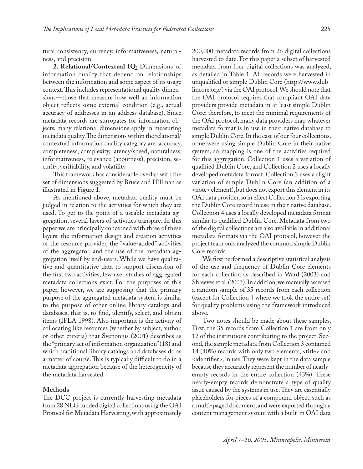tural consistency, currency, informativeness, naturalness, and precision.

**2. Relational/Contextual IQ:** Dimensions of information quality that depend on relationships between the information and some aspect of its usage context. This includes representational quality dimensions—those that measure how well an information object reflects some external condition (e.g., actual accuracy of addresses in an address database). Since metadata records are surrogates for information objects, many relational dimensions apply in measuring metadata quality. The dimensions within the relational/ contextual information quality category are: accuracy, completeness, complexity, latency/speed, naturalness, informativeness, relevance (aboutness), precision, security, verifiability, and volatility.

This framework has considerable overlap with the set of dimensions suggested by Bruce and Hillman as illustrated in Figure 1.

As mentioned above, metadata quality must be judged in relation to the activities for which they are used. To get to the point of a useable metadata aggregation, several layers of activities transpire. In this paper we are principally concerned with three of these layers: the information design and creation activities of the resource provider, the "value-added" activities of the aggregator, and the use of the metadata aggregation itself by end-users. While we have qualitative and quantitative data to support discussion of the first two activities, few user studies of aggregated metadata collections exist. For the purposes of this paper, however, we are supposing that the primary purpose of the aggregated metadata system is similar to the purpose of other online library catalogs and databases, that is, to find, identify, select, and obtain items (IFLA 1998). Also important is the activity of collocating like resources (whether by subject, author, or other criteria) that Svenonius (2001) describes as the "primary act of information organization" (18) and which traditional library catalogs and databases do as a matter of course. This is typically difficult to do in a metadata aggregation because of the heterogeneity of the metadata harvested.

# **Methods**

The DCC project is currently harvesting metadata from 28 NLG funded digital collections using the OAI Protocol for Metadata Harvesting, with approximately

200,000 metadata records from 26 digital collections harvested to date. For this paper a subset of harvested metadata from four digital collections was analyzed, as detailed in Table 1. All records were harvested in unqualified or simple Dublin Core (http://www.dublincore.org/) via the OAI protocol. We should note that the OAI protocol requires that compliant OAI data providers provide metadata in at least simple Dublin Core; therefore, to meet the minimal requirements of the OAI protocol, many data providers map whatever metadata format is in use in their native database to simple Dublin Core. In the case of our four collections, none were using simple Dublin Core in their native system, so mapping is one of the activities required for this aggregation. Collection 1 uses a variation of qualified Dublin Core, and Collection 2 uses a locally developed metadata format. Collection 3 uses a slight variation of simple Dublin Core (an addition of a <note> element), but does not export this element in its OAI data provider, so in effect Collection 3 is exporting the Dublin Core record in use in their native database. Collection 4 uses a locally developed metadata format similar to qualified Dublin Core. Metadata from two of the digital collections are also available in additional metadata formats via the OAI protocol, however the project team only analyzed the common simple Dublin Core records.

We first performed a descriptive statistical analysis of the use and frequency of Dublin Core elements for each collection as described in Ward (2003) and Shreeves et al. (2003). In addition, we manually assessed a random sample of 35 records from each collection (except for Collection 4 where we took the entire set) for quality problems using the framework introduced above.

Two notes should be made about these samples. First, the 35 records from Collection 1 are from only 12 of the institutions contributing to the project. Second, the sample metadata from Collection 3 contained 14 (40%) records with only two elements, <title> and <identifier>, in use. They were kept in the data sample because they accurately represent the number of nearlyempty records in the entire collection (43%). These nearly-empty records demonstrate a type of quality issue caused by the systems in use. They are essentially placeholders for pieces of a compound object, such as a multi-paged document, and were exported through a content management system with a built-in OAI data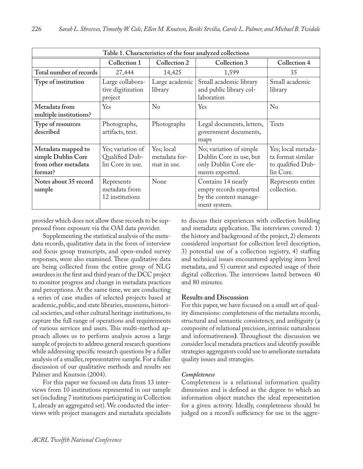|                                                                            |                                                         |                                            | Table 1. Characteristics of the four analyzed collections                                      |                                                                           |
|----------------------------------------------------------------------------|---------------------------------------------------------|--------------------------------------------|------------------------------------------------------------------------------------------------|---------------------------------------------------------------------------|
|                                                                            | Collection 1                                            | Collection 2                               | Collection 3                                                                                   | Collection 4                                                              |
| Total number of records                                                    | 27,444                                                  | 14,425                                     | 1,599                                                                                          | 35                                                                        |
| Type of institution                                                        | Large collabora-<br>tive digitization<br>project        | Large academic<br>library                  | Small academic library<br>and public library col-<br>laboration                                | Small academic<br>library                                                 |
| Metadata from<br>multiple institutions?                                    | Yes                                                     | No                                         | Yes                                                                                            | No                                                                        |
| Type of resources<br>described                                             | Photographs,<br>artifacts, text.                        | Photographs                                | Legal documents, letters,<br>government documents,<br>maps                                     | Texts                                                                     |
| Metadata mapped to<br>simple Dublin Core<br>from other metadata<br>format? | Yes; variation of<br>Qualified Dub-<br>lin Core in use. | Yes; local<br>metadata for-<br>mat in use. | No; variation of simple<br>Dublin Core in use, but<br>only Dublin Core ele-<br>ments exported. | Yes; local metada-<br>ta format similar<br>to qualified Dub-<br>lin Core. |
| Notes about 35 record<br>sample                                            | Represents<br>metadata from<br>12 institutions          | None                                       | Contains 14 nearly<br>empty records exported<br>by the content manage-<br>ment system.         | Represents entire<br>collection.                                          |

provider which does not allow these records to be suppressed from exposure via the OAI data provider.

Supplementing the statistical analysis of the metadata records, qualitative data in the form of interview and focus group transcripts, and open-ended survey responses, were also examined. These qualitative data are being collected from the entire group of NLG awardees in the first and third years of the DCC project to monitor progress and change in metadata practices and perceptions. At the same time, we are conducting a series of case studies of selected projects based at academic, public, and state libraries, museums, historical societies, and other cultural heritage institutions, to capture the full range of operations and requirements of various services and users. This multi-method approach allows us to perform analysis across a large sample of projects to address general research questions while addressing specific research questions by a fuller analysis of a smaller, representative sample. For a fuller discussion of our qualitative methods and results see Palmer and Knutson (2004).

For this paper we focused on data from 13 interviews from 10 institutions represented in our sample set (including 7 institutions participating in Collection 1, already an aggregated set). We conducted the interviews with project managers and metadata specialists to discuss their experiences with collection building and metadata application. The interviews covered: 1) the history and background of the project, 2) elements considered important for collection level description, 3) potential use of a collection registry, 4) staffing and technical issues encountered applying item level metadata, and 5) current and expected usage of their digital collection. The interviews lasted between 40 and 80 minutes.

# **Results and Discussion**

For this paper, we have focused on a small set of quality dimensions: completeness of the metadata records, structural and semantic consistency, and ambiguity (a composite of relational precision, intrinsic naturalness and informativeness**)**. Throughout the discussion we consider local metadata practices and identify possible strategies aggregators could use to ameliorate metadata quality issues and strategies.

# *Completeness*

Completeness is a relational information quality dimension and is defined as the degree to which an information object matches the ideal representation for a given activity. Ideally, completeness should be judged on a record's sufficiency for use in the aggre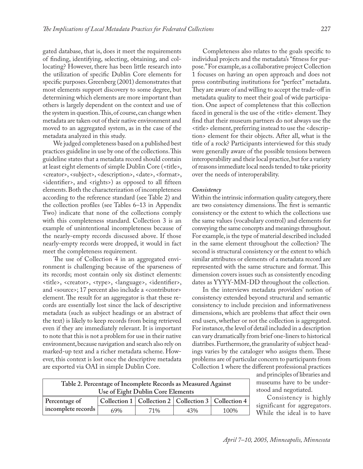gated database, that is, does it meet the requirements of finding, identifying, selecting, obtaining, and collocating? However, there has been little research into the utilization of specific Dublin Core elements for specific purposes. Greenberg (2001) demonstrates that most elements support discovery to some degree, but determining which elements are more important than others is largely dependent on the context and use of the system in question. This, of course, can change when metadata are taken out of their native environment and moved to an aggregated system, as in the case of the metadata analyzed in this study.

We judged completeness based on a published best practices guideline in use by one of the collections. This guideline states that a metadata record should contain at least eight elements of simple Dublin Core (<title>, <creator>, <subject>, <description>, <date>, <format>, <identifier>, and <rights>) as opposed to all fifteen elements. Both the characterization of incompleteness according to the reference standard (see Table 2) and the collection profiles (see Tables 6–13 in Appendix Two) indicate that none of the collections comply with this completeness standard. Collection 3 is an example of unintentional incompleteness because of the nearly-empty records discussed above. If those nearly-empty records were dropped, it would in fact meet the completeness requirement.

The use of Collection 4 in an aggregated environment is challenging because of the sparseness of its records; most contain only six distinct elements: <title>, <creator>, <type>, <language>, <identifier>, and <source>; 17 percent also include a <contributor> element. The result for an aggregator is that these records are essentially lost since the lack of descriptive metadata (such as subject headings or an abstract of the text) is likely to keep records from being retrieved even if they are immediately relevant. It is important to note that this is not a problem for use in their native environment, because navigation and search also rely on marked-up text and a richer metadata scheme. However, this context is lost once the descriptive metadata are exported via OAI in simple Dublin Core.

Completeness also relates to the goals specific to individual projects and the metadata's "fitness for purpose." For example, as a collaborative project Collection 1 focuses on having an open approach and does not press contributing institutions for "perfect" metadata. They are aware of and willing to accept the trade-off in metadata quality to meet their goal of wide participation. One aspect of completeness that this collection faced in general is the use of the <title> element. They find that their museum partners do not always use the <title> element, preferring instead to use the <description> element for their objects. After all, what is the title of a rock? Participants interviewed for this study were generally aware of the possible tensions between interoperability and their local practice, but for a variety of reasons immediate local needs tended to take priority over the needs of interoperability.

#### *Consistency*

Within the intrinsic information quality category, there are two consistency dimensions. The first is semantic consistency or the extent to which the collections use the same values (vocabulary control) and elements for conveying the same concepts and meanings throughout. For example, is the type of material described included in the same element throughout the collection? The second is structural consistency or the extent to which similar attributes or elements of a metadata record are represented with the same structure and format. This dimension covers issues such as consistently encoding dates as YYYY-MM-DD throughout the collection.

In the interviews metadata providers' notion of consistency extended beyond structural and semantic consistency to include precision and informativeness dimensions, which are problems that affect their own end users, whether or not the collection is aggregated. For instance, the level of detail included in a description can vary dramatically from brief one-liners to historical diatribes. Furthermore, the granularity of subject headings varies by the cataloger who assigns them. These problems are of particular concern to participants from Collection 1 where the different professional practices

> and principles of libraries and museums have to be understood and negotiated.

Consistency is highly significant for aggregators. While the ideal is to have

| Table 2. Percentage of Incomplete Records as Measured Against<br>Use of Eight Dublin Core Elements |                                                           |  |  |  |  |  |  |  |  |  |  |
|----------------------------------------------------------------------------------------------------|-----------------------------------------------------------|--|--|--|--|--|--|--|--|--|--|
| Percentage of                                                                                      | Collection 1   Collection 2   Collection 3   Collection 4 |  |  |  |  |  |  |  |  |  |  |
|                                                                                                    | incomplete records<br>71%<br>69%<br>100\%<br>43%          |  |  |  |  |  |  |  |  |  |  |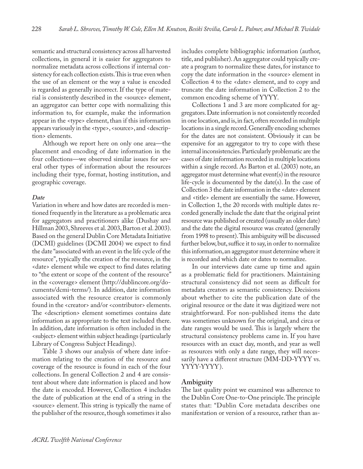semantic and structural consistency across all harvested collections, in general it is easier for aggregators to normalize metadata across collections if internal consistency for each collection exists. This is true even when the use of an element or the way a value is encoded is regarded as generally incorrect. If the type of material is consistently described in the <source> element, an aggregator can better cope with normalizing this information to, for example, make the information appear in the <type> element, than if this information appears variously in the <type>, <source>, and <description> elements.

Although we report here on only one area—the placement and encoding of date information in the four collections—we observed similar issues for several other types of information about the resources including their type, format, hosting institution, and geographic coverage.

#### *Date*

Variation in where and how dates are recorded is mentioned frequently in the literature as a problematic area for aggregators and practitioners alike (Dushay and Hillman 2003, Shreeves et al. 2003, Barton et al. 2003). Based on the general Dublin Core Metadata Initiative (DCMI) guidelines (DCMI 2004) we expect to find the date "associated with an event in the life cycle of the resource", typically the creation of the resource, in the <date> element while we expect to find dates relating to "the extent or scope of the content of the resource" in the <coverage> element (http://dublincore.org/documents/dcmi-terms/). In addition, date information associated with the resource creator is commonly found in the <creator> and/or <contributor> elements. The <description> element sometimes contains date information as appropriate to the text included there. In addition, date information is often included in the <subject> element within subject headings (particularly Library of Congress Subject Headings).

Table 3 shows our analysis of where date information relating to the creation of the resource and coverage of the resource is found in each of the four collections. In general Collection 2 and 4 are consistent about where date information is placed and how the date is encoded. However, Collection 4 includes the date of publication at the end of a string in the <source> element. This string is typically the name of the publisher of the resource, though sometimes it also

includes complete bibliographic information (author, title, and publisher). An aggregator could typically create a program to normalize these dates, for instance to copy the date information in the <source> element in Collection 4 to the <date> element, and to copy and truncate the date information in Collection 2 to the common encoding scheme of YYYY.

Collections 1 and 3 are more complicated for aggregators. Date information is not consistently recorded in one location, and is, in fact, often recorded in multiple locations in a single record. Generally encoding schemes for the dates are not consistent. Obviously it can be expensive for an aggregator to try to cope with these internal inconsistencies. Particularly problematic are the cases of date information recorded in multiple locations within a single record. As Barton et al. (2003) note, an aggregator must determine what event(s) in the resource life-cycle is documented by the date(s). In the case of Collection 3 the date information in the <date> element and <title> element are essentially the same. However, in Collection 1, the 20 records with multiple dates recorded generally include the date that the original print resource was published or created (usually an older date) and the date the digital resource was created (generally from 1998 to present). This ambiguity will be discussed further below, but, suffice it to say, in order to normalize this information, an aggregator must determine where it is recorded and which date or dates to normalize.

In our interviews date came up time and again as a problematic field for practitioners. Maintaining structural consistency did not seem as difficult for metadata creators as semantic consistency. Decisions about whether to cite the publication date of the original resource or the date it was digitized were not straightforward. For non-published items the date was sometimes unknown for the original, and circa or date ranges would be used. This is largely where the structural consistency problems came in. If you have resources with an exact day, month, and year as well as resources with only a date range, they will necessarily have a different structure (MM-DD-YYYY vs. YYYY-YYYY).

# **Ambiguity**

The last quality point we examined was adherence to the Dublin Core One-to-One principle. The principle states that: "Dublin Core metadata describes one manifestation or version of a resource, rather than as-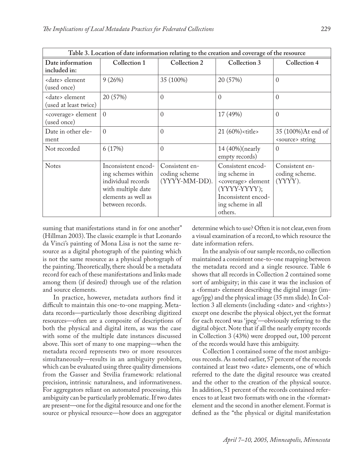|                                                 | Table 3. Location of date information relating to the creation and coverage of the resource                                      |                                                  |                                                                                                                                                |                                             |
|-------------------------------------------------|----------------------------------------------------------------------------------------------------------------------------------|--------------------------------------------------|------------------------------------------------------------------------------------------------------------------------------------------------|---------------------------------------------|
| Date information<br>included in:                | Collection 1                                                                                                                     | Collection 2                                     | Collection 3                                                                                                                                   | Collection 4                                |
| <date> element<br/>(used once)</date>           | 9(26%)                                                                                                                           | 35 (100%)                                        | 20 (57%)                                                                                                                                       | $\Omega$                                    |
| <date> element<br/>(used at least twice)</date> | 20 (57%)                                                                                                                         | $\Omega$                                         | $\Omega$                                                                                                                                       | $\Omega$                                    |
| <coverage> element<br/>(used once)</coverage>   | $\theta$                                                                                                                         | $\overline{0}$                                   | 17 (49%)                                                                                                                                       | $\overline{0}$                              |
| Date in other ele-<br>ment                      | $\theta$                                                                                                                         | $\overline{0}$                                   | 21 (60%) <title></title>                                                                                                                       | 35 (100%)At end of<br><source/> string      |
| Not recorded                                    | 6(17%)                                                                                                                           | $\Omega$                                         | 14 (40%)(nearly<br>empty records)                                                                                                              | $\Omega$                                    |
| <b>Notes</b>                                    | Inconsistent encod-<br>ing schemes within<br>individual records<br>with multiple date<br>elements as well as<br>between records. | Consistent en-<br>coding scheme<br>(YYYY-MM-DD). | Consistent encod-<br>ing scheme in<br><coverage> element<br/>(YYYY-YYYY);<br/>Inconsistent encod-<br/>ing scheme in all<br/>others.</coverage> | Consistent en-<br>coding scheme.<br>(YYYY). |

suming that manifestations stand in for one another" (Hillman 2003). The classic example is that Leonardo da Vinci's painting of Mona Lisa is not the same resource as a digital photograph of the painting which is not the same resource as a physical photograph of the painting. Theoretically, there should be a metadata record for each of these manifestations and links made among them (if desired) through use of the relation and source elements.

In practice, however, metadata authors find it difficult to maintain this one-to-one mapping. Metadata records—particularly those describing digitized resources—often are a composite of descriptions of both the physical and digital item, as was the case with some of the multiple date instances discussed above. This sort of many to one mapping—when the metadata record represents two or more resources simultaneously—results in an ambiguity problem, which can be evaluated using three quality dimensions from the Gasser and Stvilia framework: relational precision, intrinsic naturalness, and informativeness. For aggregators reliant on automated processing, this ambiguity can be particularly problematic. If two dates are present—one for the digital resource and one for the source or physical resource—how does an aggregator determine which to use? Often it is not clear, even from a visual examination of a record, to which resource the date information refers.

In the analysis of our sample records, no collection maintained a consistent one-to-one mapping between the metadata record and a single resource. Table 6 shows that all records in Collection 2 contained some sort of ambiguity; in this case it was the inclusion of a <format> element describing the digital image (image/jpg) and the physical image (35 mm slide). In Collection 3 all elements (including <date> and <rights>) except one describe the physical object, yet the format for each record was 'jpeg'—obviously referring to the digital object. Note that if all the nearly empty records in Collection 3 (43%) were dropped out, 100 percent of the records would have this ambiguity.

Collection 1 contained some of the most ambiguous records. As noted earlier, 57 percent of the records contained at least two <date> elements, one of which referred to the date the digital resource was created and the other to the creation of the physical source. In addition, 51 percent of the records contained references to at least two formats with one in the <format> element and the second in another element. Format is defined as the "the physical or digital manifestation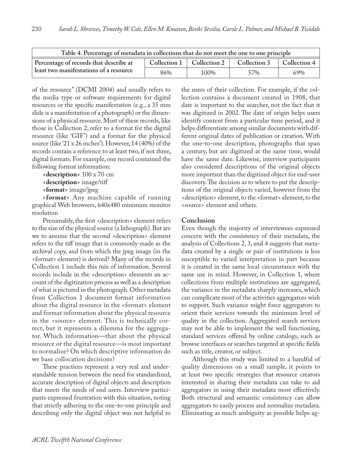| Table 4. Percentage of metadata in collections that do not meet the one to one principle |                     |              |              |              |  |  |  |  |
|------------------------------------------------------------------------------------------|---------------------|--------------|--------------|--------------|--|--|--|--|
| Percentage of records that describe at                                                   | <b>Collection 1</b> | Collection 2 | Collection 3 | Collection 4 |  |  |  |  |
| least two manifestations of a resource<br>86%<br>69%<br>100\%<br>57%                     |                     |              |              |              |  |  |  |  |

of the resource" (DCMI 2004) and usually refers to the media type or software requirements for digital resources or the specific manifestation (e.g., a 35 mm slide is a manifestation of a photograph) or the dimensions of a physical resource. Most of these records, like those in Collection 2, refer to a format for the digital resource (like 'GIF') and a format for the physical source (like '21 x 26 inches'). However, 14 (40%) of the records contain a reference to at least two, if not three, digital formats. For example, one record contained the following format information:

**<description>** 100 x 70 cm

**<description>** image/tiff

**<format>** image/jpeg

**<format>** Any machine capable of running graphical Web browsers, 640x480 minimum monitor resolution

Presumably, the first <description> element refers to the size of the physical source (a lithograph). But are we to assume that the second <description> element refers to the tiff image that is commonly made as the archival copy, and from which the jpeg image (in the <format> element) is derived? Many of the records in Collection 1 include this mix of information. Several records include in the <description> elements an account of the digitization process as well as a description of what is pictured in the photograph. Other metadata from Collection 1 document format information about the digital resource in the <format> element and format information about the physical resource in the <source> element. This is technically correct, but it represents a dilemma for the aggregator. Which information—that about the physical resource or the digital resource—is most important to normalize? On which descriptive information do we base collocation decisions?

These practices represent a very real and understandable tension between the need for standardized, accurate description of digital objects and description that meets the needs of end users. Interview participants expressed frustration with this situation, noting that strictly adhering to the one-to-one principle and describing only the digital object was not helpful to

the users of their collection. For example, if the collection contains a document created in 1908, that date is important to the searcher, not the fact that it was digitized in 2002. The date of origin helps users identify content from a particular time period, and it helps differentiate among similar documents with different original dates of publication or creation. With the one-to-one description, photographs that span a century, but are digitized at the same time, would have the same date. Likewise, interview participants also considered descriptions of the original objects more important than the digitized object for end-user discovery. The decision as to where to put the descriptions of the original objects varied, however from the <description> element, to the <format> element, to the <source> element and others.

# **Conclusion**

Even though the majority of interviewees expressed concern with the consistency of their metadata, the analysis of Collections 2, 3, and 4 suggests that metadata created by a single or pair of institutions is less susceptible to varied interpretation in part because it is created in the same local circumstance with the same use in mind. However, in Collection 1, where collections from multiple institutions are aggregated, the variance in the metadata sharply increases, which can complicate most of the activities aggregators wish to support. Such variance might force aggregators to orient their services towards the minimum level of quality in the collection. Aggregated search services may not be able to implement the well functioning, standard services offered by online catalogs, such as browse interfaces or searches targeted at specific fields such as title, creator, or subject.

Although this study was limited to a handful of quality dimensions on a small sample, it points to at least two specific strategies that resource creators interested in sharing their metadata can take to aid aggregators in using their metadata most effectively. Both structural and semantic consistency can allow aggregators to easily process and normalize metadata. Eliminating as much ambiguity as possible helps ag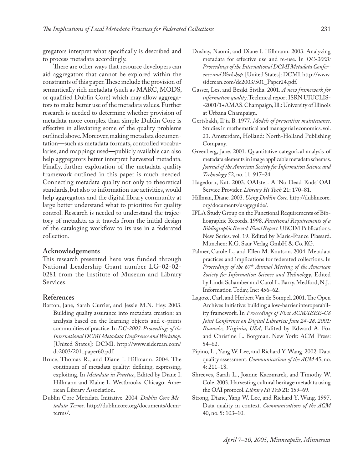gregators interpret what specifically is described and to process metadata accordingly.

There are other ways that resource developers can aid aggregators that cannot be explored within the constraints of this paper. These include the provision of semantically rich metadata (such as MARC, MODS, or qualified Dublin Core) which may allow aggregators to make better use of the metadata values. Further research is needed to determine whether provision of metadata more complex than simple Dublin Core is effective in alleviating some of the quality problems outlined above. Moreover, making metadata documentation—such as metadata formats, controlled vocabularies, and mappings used—publicly available can also help aggregators better interpret harvested metadata. Finally, further exploration of the metadata quality framework outlined in this paper is much needed. Connecting metadata quality not only to theoretical standards, but also to information use activities, would help aggregators and the digital library community at large better understand what to prioritize for quality control. Research is needed to understand the trajectory of metadata as it travels from the initial design of the cataloging workflow to its use in a federated collection.

#### **Acknowledgements**

This research presented here was funded through National Leadership Grant number LG-02-02- 0281 from the Institute of Museum and Library Services.

# **References**

- Barton, Jane, Sarah Currier, and Jessie M.N. Hey. 2003. Building quality assurance into metadata creation: an analysis based on the learning objects and e-prints communities of practice. In *DC-2003: Proceedings of the International DCMI Metadata Conference and Workshop.* [United States]: DCMI. http://www.siderean.com/ dc2003/201\_paper60.pdf.
- Bruce, Thomas R., and Diane I. Hillmann. 2004. The continuum of metadata quality: defining, expressing, exploiting. In *Metadata in Practice*, Edited by Diane I. Hillmann and Elaine L. Westbrooks. Chicago: American Library Association.
- Dublin Core Metadata Initiative. 2004. *Dublin Core Metadata Terms*. http://dublincore.org/documents/dcmiterms/.
- Dushay, Naomi, and Diane I. Hillmann. 2003. Analyzing metadata for effective use and re-use. In *DC-2003: Proceedings of the International DCMI Metadata Conference and Workshop.* [United States]: DCMI. http://www. siderean.com/dc2003/501\_Paper24.pdf.
- Gasser, Les, and Besiki Stvilia. 2001. *A new framework for information quality*. Technical report ISRN UIUCLIS- -2001/1+AMAS. Champaign, Ill.: University of Illinois at Urbana Champaign.
- Gertsbakh, Il´ia B. 1977. *Models of preventive maintenance*. Studies in mathematical and managerial economics. vol. 23. Amsterdam, Holland: North-Holland Publishing Company.
- Greenberg, Jane. 2001. Quantitative categorical analysis of metadata elements in image applicable metadata schemas. *Journal of the American Society for Information Science and Technology* 52, no. 11: 917–24.
- Hagedorn, Kat. 2003. OAIster: A 'No Dead Ends' OAI Service Provider. *Library Hi Tech* 21: 170–81.
- Hillman, Diane. 2003. *Using Dublin Core*. http://dublincore. org/documents/usageguide/.
- IFLA Study Group on the Functional Requirements of Bibliographic Records. 1998. *Functional Requirements of a Bibliographic Record: Final Report.* UBCIM Publications. New Series. vol. 19. Edited by Marie-France Plassard. München: K.G. Saur Verlag GmbH & Co. KG.
- Palmer, Carole L., and Ellen M. Knutson. 2004. Metadata practices and implications for federated collections. In *Proceedings of the 67th Annual Meeting of the American Society for Information Science and Technology*, Edited by Linda Schamber and Carol L. Barry. Medford, N.J.: Information Today, Inc: 456–62.
- Lagoze, Carl, and Herbert Van de Sompel. 2001. The Open Archives Initiative: building a low-barrier interoperability framework. In *Proceedings of First ACM/IEEE-CS Joint Conference on Digital Libraries: June 24-28, 2001: Roanoke, Virginia, USA,* Edited by Edward A. Fox and Christine L. Borgman. New York: ACM Press: 54–62.
- Pipino, L., Yang W. Lee, and Richard Y. Wang. 2002. Data quality assessment. *Communications of the ACM* 45, no. 4: 211–18.
- Shreeves, Sarah L., Joanne Kaczmarek, and Timothy W. Cole. 2003. Harvesting cultural heritage metadata using the OAI protocol. *Library Hi Tech* 21: 159–69.
- Strong, Diane, Yang W. Lee, and Richard Y. Wang. 1997. Data quality in context. *Communications of the ACM*  40, no. 5: 103–10.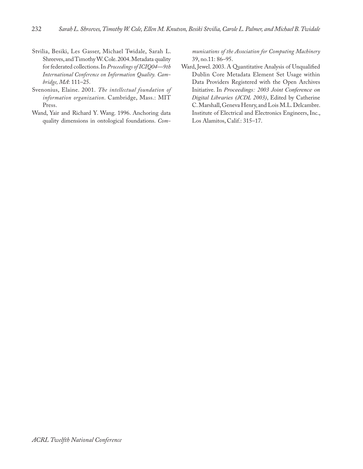- Stvilia, Besiki, Les Gasser, Michael Twidale, Sarah L. Shreeves, and Timothy W. Cole. 2004. Metadata quality for federated collections. In *Proceedings of ICIQ04—9th International Conference on Information Quality. Cambridge, MA*: 111–25.
- Svenonius, Elaine. 2001. *The intellectual foundation of information organization*. Cambridge, Mass.: MIT Press.
- Wand, Yair and Richard Y. Wang. 1996. Anchoring data quality dimensions in ontological foundations. *Com-*

*munications of the Association for Computing Machinery* 39, no.11: 86–95.

Ward, Jewel. 2003. A Quantitative Analysis of Unqualified Dublin Core Metadata Element Set Usage within Data Providers Registered with the Open Archives Initiative. In *Proceedings: 2003 Joint Conference on Digital Libraries (JCDL 2003)*, Edited by Catherine C. Marshall, Geneva Henry, and Lois M.L. Delcambre. Institute of Electrical and Electronics Engineers, Inc., Los Alamitos, Calif.: 315–17.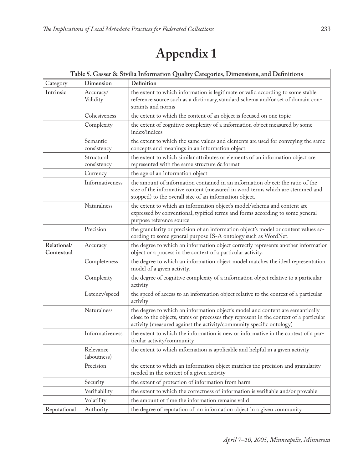# **Appendix 1**

|                           |                           | Table 5. Gasser & Stvilia Information Quality Categories, Dimensions, and Definitions                                                                                                                                                             |
|---------------------------|---------------------------|---------------------------------------------------------------------------------------------------------------------------------------------------------------------------------------------------------------------------------------------------|
| Category                  | Dimension                 | Definition                                                                                                                                                                                                                                        |
| Intrinsic                 | Accuracy/<br>Validity     | the extent to which information is legitimate or valid according to some stable<br>reference source such as a dictionary, standard schema and/or set of domain con-<br>straints and norms                                                         |
|                           | Cohesiveness              | the extent to which the content of an object is focused on one topic                                                                                                                                                                              |
|                           | Complexity                | the extent of cognitive complexity of a information object measured by some<br>index/indices                                                                                                                                                      |
|                           | Semantic<br>consistency   | the extent to which the same values and elements are used for conveying the same<br>concepts and meanings in an information object.                                                                                                               |
|                           | Structural<br>consistency | the extent to which similar attributes or elements of an information object are<br>represented with the same structure & format                                                                                                                   |
|                           | Currency                  | the age of an information object                                                                                                                                                                                                                  |
|                           | Informativeness           | the amount of information contained in an information object: the ratio of the<br>size of the informative content (measured in word terms which are stemmed and<br>stopped) to the overall size of an information object.                         |
|                           | Naturalness               | the extent to which an information object's model/schema and content are<br>expressed by conventional, typified terms and forms according to some general<br>purpose reference source                                                             |
|                           | Precision                 | the granularity or precision of an information object's model or content values ac-<br>cording to some general purpose IS-A ontology such as WordNet.                                                                                             |
| Relational/<br>Contextual | Accuracy                  | the degree to which an information object correctly represents another information<br>object or a process in the context of a particular activity.                                                                                                |
|                           | Completeness              | the degree to which an information object model matches the ideal representation<br>model of a given activity.                                                                                                                                    |
|                           | Complexity                | the degree of cognitive complexity of a information object relative to a particular<br>activity                                                                                                                                                   |
|                           | Latency/speed             | the speed of access to an information object relative to the context of a particular<br>activity                                                                                                                                                  |
|                           | Naturalness               | the degree to which an information object's model and content are semantically<br>close to the objects, states or processes they represent in the context of a particular<br>activity (measured against the activity/community specific ontology) |
|                           | Informativeness           | the extent to which the information is new or informative in the context of a par-<br>ticular activity/community                                                                                                                                  |
|                           | Relevance<br>(aboutness)  | the extent to which information is applicable and helpful in a given activity                                                                                                                                                                     |
|                           | Precision                 | the extent to which an information object matches the precision and granularity<br>needed in the context of a given activity                                                                                                                      |
|                           | Security                  | the extent of protection of information from harm                                                                                                                                                                                                 |
|                           | Verifiability             | the extent to which the correctness of information is verifiable and/or provable                                                                                                                                                                  |
|                           | Volatility                | the amount of time the information remains valid                                                                                                                                                                                                  |
| Reputational              | Authority                 | the degree of reputation of an information object in a given community                                                                                                                                                                            |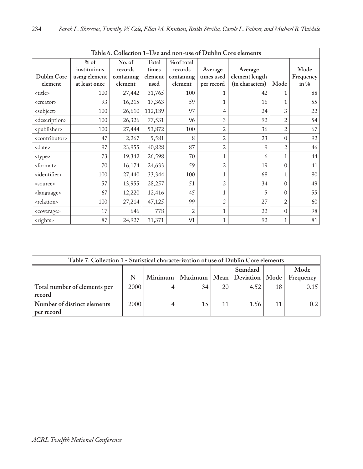|                             | Table 6. Collection 1-Use and non-use of Dublin Core elements |                                            |                                   |                                                |                                     |                                              |                |                             |  |  |  |
|-----------------------------|---------------------------------------------------------------|--------------------------------------------|-----------------------------------|------------------------------------------------|-------------------------------------|----------------------------------------------|----------------|-----------------------------|--|--|--|
| Dublin Core<br>element      | $%$ of<br>institutions<br>using element<br>at least once      | No. of<br>records<br>containing<br>element | Total<br>times<br>element<br>used | % of total<br>records<br>containing<br>element | Average<br>times used<br>per record | Average<br>element length<br>(in characters) | Mode           | Mode<br>Frequency<br>in $%$ |  |  |  |
| <title></title>             | 100                                                           | 27,442                                     | 31,765                            | 100                                            |                                     | 42                                           |                | 88                          |  |  |  |
| <creator></creator>         | 93                                                            | 16,215                                     | 17,363                            | 59                                             | 1                                   | 16                                           | 1              | 55                          |  |  |  |
| <subject></subject>         | 100                                                           | 26,610                                     | 112,189                           | 97                                             | 4                                   | 24                                           | 3              | 22                          |  |  |  |
| <description></description> | 100                                                           | 26,326                                     | 77,531                            | 96                                             | 3                                   | 92                                           | $\overline{2}$ | 54                          |  |  |  |
| <publisher></publisher>     | 100                                                           | 27,444                                     | 53,872                            | 100                                            | 2                                   | 36                                           | $\overline{2}$ | 67                          |  |  |  |
| <contributor></contributor> | 47                                                            | 2,267                                      | 5,581                             | 8                                              | $\overline{2}$                      | 23                                           | $\mathbf{0}$   | 92                          |  |  |  |
| <date></date>               | 97                                                            | 23,955                                     | 40,828                            | 87                                             | $\overline{2}$                      | 9                                            | $\overline{2}$ | 46                          |  |  |  |
| <type></type>               | 73                                                            | 19,342                                     | 26,598                            | 70                                             | $\mathbf{1}$                        | 6                                            | 1              | 44                          |  |  |  |
| <format></format>           | 70                                                            | 16,174                                     | 24,633                            | 59                                             | $\overline{2}$                      | 19                                           | $\mathbf{0}$   | 41                          |  |  |  |
| <identifier></identifier>   | 100                                                           | 27,440                                     | 33,344                            | 100                                            | $\mathbf{1}$                        | 68                                           | 1              | 80                          |  |  |  |
| <source/>                   | 57                                                            | 13,955                                     | 28,257                            | 51                                             | $\overline{2}$                      | 34                                           | $\overline{0}$ | 49                          |  |  |  |
| <language></language>       | 67                                                            | 12,220                                     | 12,416                            | 45                                             | 1                                   | 5                                            | $\overline{0}$ | 55                          |  |  |  |
| <relation></relation>       | 100                                                           | 27,214                                     | 47,125                            | 99                                             | $\overline{2}$                      | 27                                           | $\overline{2}$ | 60                          |  |  |  |
| <coverage></coverage>       | 17                                                            | 646                                        | 778                               | $\overline{2}$                                 | 1                                   | 22                                           | $\overline{0}$ | 98                          |  |  |  |
| <rights></rights>           | 87                                                            | 24,927                                     | 31,371                            | 91                                             | $\mathbf 1$                         | 92                                           | $\mathbf{1}$   | 81                          |  |  |  |

| Table 7. Collection 1 - Statistical characterization of use of Dublin Core elements |      |  |    |    |      |    |  |  |
|-------------------------------------------------------------------------------------|------|--|----|----|------|----|--|--|
| Mode<br>Standard<br>Minimum   Maximum   Mean   Deviation   Mode  <br>Frequency<br>N |      |  |    |    |      |    |  |  |
| Total number of elements per<br>record                                              | 2000 |  | 34 | 20 | 4.52 | 18 |  |  |
| Number of distinct elements<br>2000<br>1.56<br>11<br>11<br>15<br>per record         |      |  |    |    |      |    |  |  |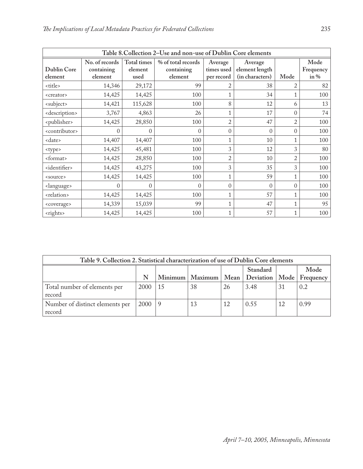| Table 8. Collection 2–Use and non-use of Dublin Core elements |                                         |                                |                                             |                                     |                                              |                |                             |  |  |  |
|---------------------------------------------------------------|-----------------------------------------|--------------------------------|---------------------------------------------|-------------------------------------|----------------------------------------------|----------------|-----------------------------|--|--|--|
| <b>Dublin Core</b><br>element                                 | No. of records<br>containing<br>element | Total times<br>element<br>used | % of total records<br>containing<br>element | Average<br>times used<br>per record | Average<br>element length<br>(in characters) | Mode           | Mode<br>Frequency<br>in $%$ |  |  |  |
| <title></title>                                               | 14,346                                  | 29,172                         | 99                                          | 2                                   | 38                                           | 2              | 82                          |  |  |  |
| <creator></creator>                                           | 14,425                                  | 14,425                         | 100                                         | 1                                   | 34                                           | 1              | 100                         |  |  |  |
| <subject></subject>                                           | 14,421                                  | 115,628                        | 100                                         | 8                                   | 12                                           | 6              | 13                          |  |  |  |
| <description></description>                                   | 3,767                                   | 4,863                          | 26                                          | 1                                   | 17                                           | $\Omega$       | 74                          |  |  |  |
| <publisher></publisher>                                       | 14,425                                  | 28,850                         | 100                                         | 2                                   | 47                                           | $\overline{2}$ | 100                         |  |  |  |
| <contributor></contributor>                                   | $\Omega$                                | 0                              | $\Omega$                                    | $\theta$                            | $\theta$                                     | $\theta$       | 100                         |  |  |  |
| <date></date>                                                 | 14,407                                  | 14,407                         | 100                                         | 1                                   | 10                                           | 1              | 100                         |  |  |  |
| <type></type>                                                 | 14,425                                  | 45,481                         | 100                                         | 3                                   | 12                                           | 3              | 80                          |  |  |  |
| <format></format>                                             | 14,425                                  | 28,850                         | 100                                         | $\overline{2}$                      | 10                                           | $\overline{2}$ | 100                         |  |  |  |
| <identifier></identifier>                                     | 14,425                                  | 43,275                         | 100                                         | 3                                   | 35                                           | 3              | 100                         |  |  |  |
| <source/>                                                     | 14,425                                  | 14,425                         | 100                                         | 1                                   | 59                                           | 1              | 100                         |  |  |  |
| <language></language>                                         | $\Omega$                                | $\Omega$                       | $\Omega$                                    | $\mathbf{0}$                        | $\Omega$                                     | $\theta$       | 100                         |  |  |  |
| <relation></relation>                                         | 14,425                                  | 14,425                         | 100                                         | 1                                   | 57                                           | 1              | 100                         |  |  |  |
| <coverage></coverage>                                         | 14,339                                  | 15,039                         | 99                                          | 1                                   | 47                                           | 1              | 95                          |  |  |  |
| <rights></rights>                                             | 14,425                                  | 14,425                         | 100                                         | 1                                   | 57                                           | 1              | 100                         |  |  |  |

| Table 9. Collection 2. Statistical characterization of use of Dublin Core elements |      |    |    |    |      |    |      |  |
|------------------------------------------------------------------------------------|------|----|----|----|------|----|------|--|
| Standard<br>Mode<br>Minimum   Maximum   Mean   Deviation   Mode   Frequency        |      |    |    |    |      |    |      |  |
|                                                                                    | N    |    |    |    |      |    |      |  |
| Total number of elements per                                                       | 2000 | 15 | 38 | 26 | 3.48 | 31 | 0.2  |  |
| record                                                                             |      |    |    |    |      |    |      |  |
| Number of distinct elements per                                                    | 2000 |    | 13 | 12 | 0.55 | 12 | 0.99 |  |
| record                                                                             |      |    |    |    |      |    |      |  |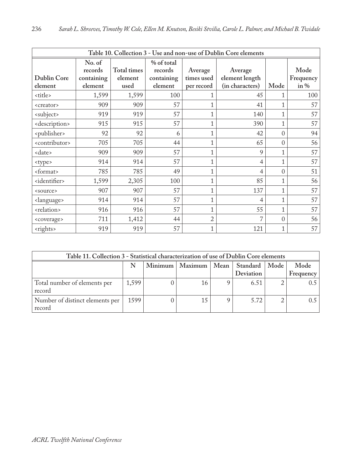| Table 10. Collection 3 - Use and non-use of Dublin Core elements |                                            |                                |                                                |                                     |                                              |                |                           |  |  |
|------------------------------------------------------------------|--------------------------------------------|--------------------------------|------------------------------------------------|-------------------------------------|----------------------------------------------|----------------|---------------------------|--|--|
| <b>Dublin Core</b><br>element                                    | No. of<br>records<br>containing<br>element | Total times<br>element<br>used | % of total<br>records<br>containing<br>element | Average<br>times used<br>per record | Average<br>element length<br>(in characters) | Mode           | Mode<br>Frequency<br>in % |  |  |
| <title></title>                                                  | 1,599                                      | 1,599                          | 100                                            | 1                                   | 45                                           |                | 100                       |  |  |
| <creator></creator>                                              | 909                                        | 909                            | 57                                             | $\mathbf{1}$                        | 41                                           |                | 57                        |  |  |
| <subject></subject>                                              | 919                                        | 919                            | 57                                             | $\mathbf{1}$                        | 140                                          |                | 57                        |  |  |
| <description></description>                                      | 915                                        | 915                            | 57                                             | 1                                   | 390                                          |                | 57                        |  |  |
| <publisher></publisher>                                          | 92                                         | 92                             | 6                                              | 1                                   | 42                                           | $\Omega$       | 94                        |  |  |
| <contributor></contributor>                                      | 705                                        | 705                            | 44                                             | $\mathbf{1}$                        | 65                                           | $\overline{0}$ | 56                        |  |  |
| <date></date>                                                    | 909                                        | 909                            | 57                                             | $\mathbf{1}$                        | 9                                            |                | 57                        |  |  |
| <type></type>                                                    | 914                                        | 914                            | 57                                             | $\mathbf{1}$                        | 4                                            |                | 57                        |  |  |
| <format></format>                                                | 785                                        | 785                            | 49                                             | $\mathbf{1}$                        | 4                                            | $\overline{0}$ | 51                        |  |  |
| <identifier></identifier>                                        | 1,599                                      | 2,305                          | 100                                            | 1                                   | 85                                           |                | 56                        |  |  |
| <source/>                                                        | 907                                        | 907                            | 57                                             | $\mathbf{1}$                        | 137                                          |                | 57                        |  |  |
| <language></language>                                            | 914                                        | 914                            | 57                                             | 1                                   | 4                                            |                | 57                        |  |  |
| <relation></relation>                                            | 916                                        | 916                            | 57                                             | 1                                   | 55                                           |                | 57                        |  |  |
| <coverage></coverage>                                            | 711                                        | 1,412                          | 44                                             | $\overline{2}$                      | 7                                            | $\Omega$       | 56                        |  |  |
| <rights></rights>                                                | 919                                        | 919                            | 57                                             | 1                                   | 121                                          |                | 57                        |  |  |

| Table 11. Collection 3 - Statistical characterization of use of Dublin Core elements |                                                                    |  |    |  |           |  |           |  |  |
|--------------------------------------------------------------------------------------|--------------------------------------------------------------------|--|----|--|-----------|--|-----------|--|--|
|                                                                                      | Mode<br>Standard<br>  Mode<br>Minimum   Maximum  <br>  Mean  <br>N |  |    |  |           |  |           |  |  |
|                                                                                      |                                                                    |  |    |  | Deviation |  | Frequency |  |  |
| Total number of elements per<br>record                                               | 1,599                                                              |  | 16 |  | 6.51      |  | 0.5       |  |  |
| Number of distinct elements per<br>record                                            | 1599                                                               |  |    |  | 5.72      |  |           |  |  |